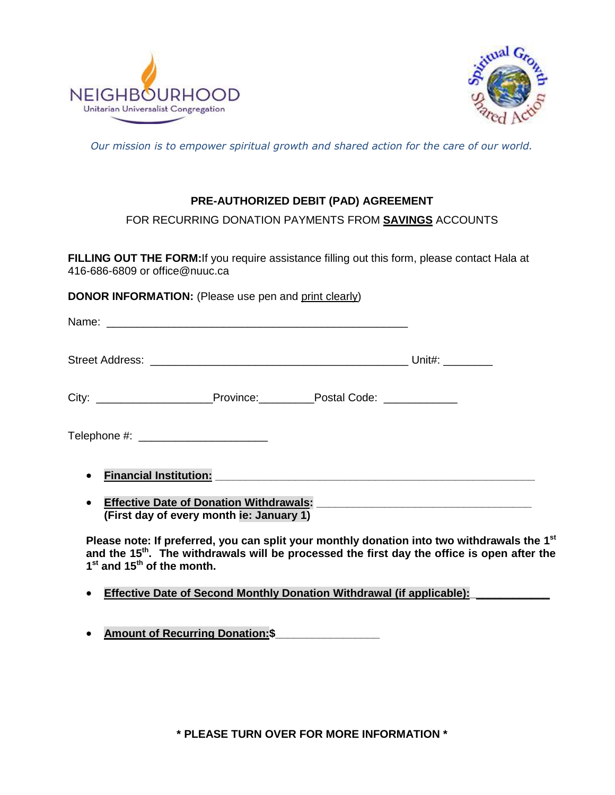



*Our mission is to empower spiritual growth and shared action for the care of our world.*

## **PRE-AUTHORIZED DEBIT (PAD) AGREEMENT**

FOR RECURRING DONATION PAYMENTS FROM **SAVINGS** ACCOUNTS

FILLING OUT THE FORM: If you require assistance filling out this form, please contact Hala at 416-686-6809 or office@nuuc.ca

**DONOR INFORMATION:** (Please use pen and print clearly)

|                                                                                                                                                                                                                                                                                              | Street Address:                               Unit#: _________                   |  |  |  |
|----------------------------------------------------------------------------------------------------------------------------------------------------------------------------------------------------------------------------------------------------------------------------------------------|----------------------------------------------------------------------------------|--|--|--|
|                                                                                                                                                                                                                                                                                              | City: __________________________Province:____________Postal Code: ______________ |  |  |  |
|                                                                                                                                                                                                                                                                                              |                                                                                  |  |  |  |
| <b>Financial Institution:</b> The Contract of Contract of Contract of Contract of Contract of Contract of Contract of Contract of Contract of Contract of Contract of Contract of Contract of Contract of Contract of Contract of C<br>$\bullet$<br>(First day of every month ie: January 1) |                                                                                  |  |  |  |

Please note: If preferred, you can split your monthly donation into two withdrawals the 1<sup>st</sup> **and the 15th. The withdrawals will be processed the first day the office is open after the 1 st and 15th of the month.**

**Effective Date of Second Monthly Donation Withdrawal (if applicable):** 

**Amount of Recurring Donation:\$\_\_\_\_\_\_\_\_\_\_\_\_\_\_\_\_\_**

**\* PLEASE TURN OVER FOR MORE INFORMATION \***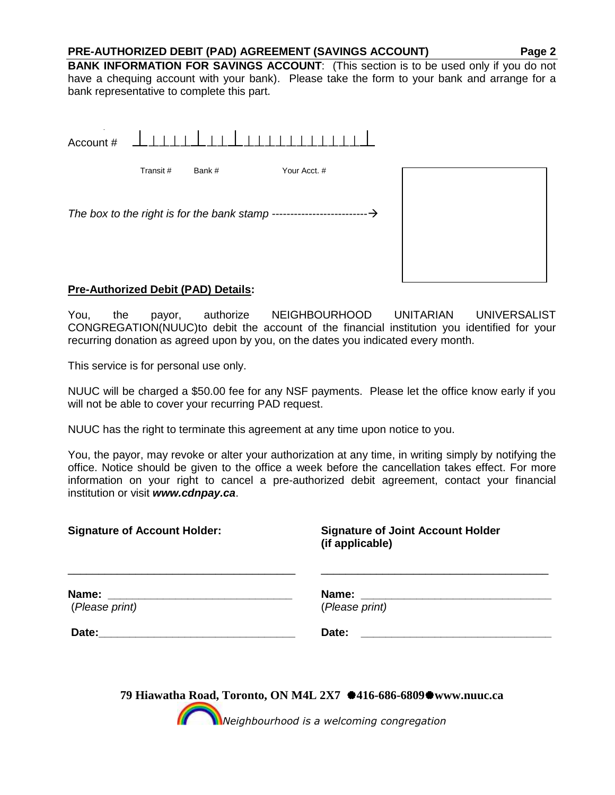## **PRE-AUTHORIZED DEBIT (PAD) AGREEMENT (SAVINGS ACCOUNT) Page 2**

**BANK INFORMATION FOR SAVINGS ACCOUNT:** (This section is to be used only if you do not have a chequing account with your bank). Please take the form to your bank and arrange for a bank representative to complete this part.

| Account #                                     | 1111     |       |              |  |
|-----------------------------------------------|----------|-------|--------------|--|
|                                               | Transit# | Bank# | Your Acct. # |  |
| The box to the right is for the bank stamp -- |          |       |              |  |
|                                               |          |       |              |  |

## **Pre-Authorized Debit (PAD) Details:**

You, the payor, authorize NEIGHBOURHOOD UNITARIAN UNIVERSALIST CONGREGATION(NUUC)to debit the account of the financial institution you identified for your recurring donation as agreed upon by you, on the dates you indicated every month.

This service is for personal use only.

NUUC will be charged a \$50.00 fee for any NSF payments. Please let the office know early if you will not be able to cover your recurring PAD request.

NUUC has the right to terminate this agreement at any time upon notice to you.

You, the payor, may revoke or alter your authorization at any time, in writing simply by notifying the office. Notice should be given to the office a week before the cancellation takes effect. For more information on your right to cancel a pre-authorized debit agreement, contact your financial institution or visit *www.cdnpay.ca*.

| <b>Signature of Account Holder:</b>                                                                                                                                                                                            | <b>Signature of Joint Account Holder</b><br>(if applicable)       |
|--------------------------------------------------------------------------------------------------------------------------------------------------------------------------------------------------------------------------------|-------------------------------------------------------------------|
| (Please print)                                                                                                                                                                                                                 | Name: ______<br>(Please print)                                    |
| Date: the contract of the contract of the contract of the contract of the contract of the contract of the contract of the contract of the contract of the contract of the contract of the contract of the contract of the cont | Date:                                                             |
|                                                                                                                                                                                                                                | 79 Hiawatha Road, Toronto, ON M4L 2X7 \$416-686-6809\$www.nuuc.ca |

*Neighbourhood is a welcoming congregation*